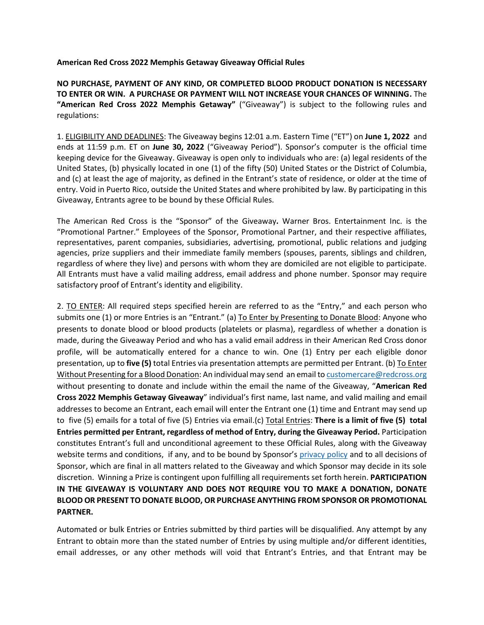## **American Red Cross 2022 Memphis Getaway Giveaway Official Rules**

**NO PURCHASE, PAYMENT OF ANY KIND, OR COMPLETED BLOOD PRODUCT DONATION IS NECESSARY TO ENTER OR WIN. A PURCHASE OR PAYMENT WILL NOT INCREASE YOUR CHANCES OF WINNING.** The **"American Red Cross 2022 Memphis Getaway"** ("Giveaway") is subject to the following rules and regulations:

1. ELIGIBILITY AND DEADLINES: The Giveaway begins 12:01 a.m. Eastern Time ("ET") on **June 1, 2022** and ends at 11:59 p.m. ET on **June 30, 2022** ("Giveaway Period"). Sponsor's computer is the official time keeping device for the Giveaway. Giveaway is open only to individuals who are: (a) legal residents of the United States, (b) physically located in one (1) of the fifty (50) United States or the District of Columbia, and (c) at least the age of majority, as defined in the Entrant's state of residence, or older at the time of entry. Void in Puerto Rico, outside the United States and where prohibited by law. By participating in this Giveaway, Entrants agree to be bound by these Official Rules.

The American Red Cross is the "Sponsor" of the Giveaway**.** Warner Bros. Entertainment Inc. is the "Promotional Partner." Employees of the Sponsor, Promotional Partner, and their respective affiliates, representatives, parent companies, subsidiaries, advertising, promotional, public relations and judging agencies, prize suppliers and their immediate family members (spouses, parents, siblings and children, regardless of where they live) and persons with whom they are domiciled are not eligible to participate. All Entrants must have a valid mailing address, email address and phone number. Sponsor may require satisfactory proof of Entrant's identity and eligibility.

2. TO ENTER: All required steps specified herein are referred to as the "Entry," and each person who submits one (1) or more Entries is an "Entrant." (a) To Enter by Presenting to Donate Blood: Anyone who presents to donate blood or blood products (platelets or plasma), regardless of whether a donation is made, during the Giveaway Period and who has a valid email address in their American Red Cross donor profile, will be automatically entered for a chance to win. One (1) Entry per each eligible donor presentation, up to **five (5)** total Entries via presentation attempts are permitted per Entrant. (b) To Enter Without Presenting for a Blood Donation: An individual may send an email to customercare@redcross.org without presenting to donate and include within the email the name of the Giveaway, "**American Red Cross 2022 Memphis Getaway Giveaway**" individual's first name, last name, and valid mailing and email addresses to become an Entrant, each email will enter the Entrant one (1) time and Entrant may send up to five (5) emails for a total of five (5) Entries via email.(c) Total Entries: **There is a limit of five (5) total Entries permitted per Entrant, regardless of method of Entry, during the Giveaway Period.** Participation constitutes Entrant's full and unconditional agreement to these Official Rules, along with the Giveaway website terms and conditions, if any, and to be bound by Sponsor's [privacy policy](https://www.redcross.org/privacy-policy.html) and to all decisions of Sponsor, which are final in all matters related to the Giveaway and which Sponsor may decide in its sole discretion. Winning a Prize is contingent upon fulfilling all requirements set forth herein. **PARTICIPATION IN THE GIVEAWAY IS VOLUNTARY AND DOES NOT REQUIRE YOU TO MAKE A DONATION, DONATE BLOOD OR PRESENT TO DONATE BLOOD, OR PURCHASE ANYTHING FROM SPONSOR OR PROMOTIONAL PARTNER.**

Automated or bulk Entries or Entries submitted by third parties will be disqualified. Any attempt by any Entrant to obtain more than the stated number of Entries by using multiple and/or different identities, email addresses, or any other methods will void that Entrant's Entries, and that Entrant may be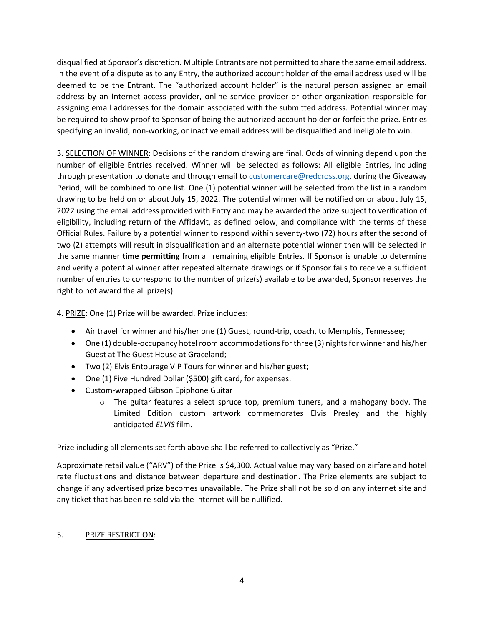disqualified at Sponsor's discretion. Multiple Entrants are not permitted to share the same email address. In the event of a dispute as to any Entry, the authorized account holder of the email address used will be deemed to be the Entrant. The "authorized account holder" is the natural person assigned an email address by an Internet access provider, online service provider or other organization responsible for assigning email addresses for the domain associated with the submitted address. Potential winner may be required to show proof to Sponsor of being the authorized account holder or forfeit the prize. Entries specifying an invalid, non-working, or inactive email address will be disqualified and ineligible to win.

3. SELECTION OF WINNER: Decisions of the random drawing are final. Odds of winning depend upon the number of eligible Entries received. Winner will be selected as follows: All eligible Entries, including through presentation to donate and through email to customercare@redcross.org, during the Giveaway Period, will be combined to one list. One (1) potential winner will be selected from the list in a random drawing to be held on or about July 15, 2022. The potential winner will be notified on or about July 15, 2022 using the email address provided with Entry and may be awarded the prize subject to verification of eligibility, including return of the Affidavit, as defined below, and compliance with the terms of these Official Rules. Failure by a potential winner to respond within seventy-two (72) hours after the second of two (2) attempts will result in disqualification and an alternate potential winner then will be selected in the same manner **time permitting** from all remaining eligible Entries. If Sponsor is unable to determine and verify a potential winner after repeated alternate drawings or if Sponsor fails to receive a sufficient number of entries to correspond to the number of prize(s) available to be awarded, Sponsor reserves the right to not award the all prize(s).

4. PRIZE: One (1) Prize will be awarded. Prize includes:

- Air travel for winner and his/her one (1) Guest, round-trip, coach, to Memphis, Tennessee;
- One  $(1)$  double-occupancy hotel room accommodations for three  $(3)$  nights for winner and his/her Guest at The Guest House at Graceland;
- Two (2) Elvis Entourage VIP Tours for winner and his/her guest;
- One (1) Five Hundred Dollar (\$500) gift card, for expenses.
- Custom-wrapped Gibson Epiphone Guitar
	- o The guitar features a select spruce top, premium tuners, and a mahogany body. The Limited Edition custom artwork commemorates Elvis Presley and the highly anticipated *ELVIS* film.

Prize including all elements set forth above shall be referred to collectively as "Prize."

Approximate retail value ("ARV") of the Prize is \$4,300. Actual value may vary based on airfare and hotel rate fluctuations and distance between departure and destination. The Prize elements are subject to change if any advertised prize becomes unavailable. The Prize shall not be sold on any internet site and any ticket that has been re-sold via the internet will be nullified.

## 5. PRIZE RESTRICTION: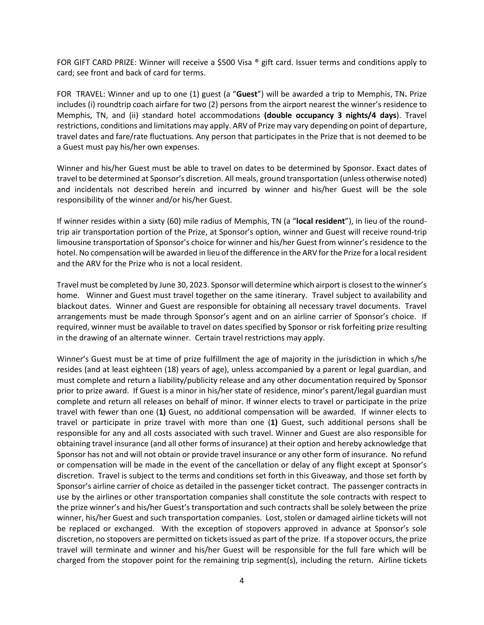FOR GIFT CARD PRIZE: Winner will receive a \$500 Visa ® gift card. Issuer terms and conditions apply to card; see front and back of card for terms.

FOR TRAVEL: Winner and up to one (1) guest (a "**Guest**") will be awarded a trip to Memphis, TN**.** Prize includes (i) roundtrip coach airfare for two (2) persons from the airport nearest the winner's residence to Memphis, TN, and (ii) standard hotel accommodations **(double occupancy 3 nights/4 days**). Travel restrictions, conditions and limitations may apply. ARV of Prize may vary depending on point of departure, travel dates and fare/rate fluctuations. Any person that participates in the Prize that is not deemed to be a Guest must pay his/her own expenses.

Winner and his/her Guest must be able to travel on dates to be determined by Sponsor. Exact dates of travel to be determined at Sponsor's discretion. All meals, ground transportation (unless otherwise noted) and incidentals not described herein and incurred by winner and his/her Guest will be the sole responsibility of the winner and/or his/her Guest.

If winner resides within a sixty (60) mile radius of Memphis, TN (a "**local resident**"), in lieu of the roundtrip air transportation portion of the Prize, at Sponsor's option, winner and Guest will receive round-trip limousine transportation of Sponsor's choice for winner and his/her Guest from winner's residence to the hotel. No compensation will be awarded in lieu of the difference in the ARV for the Prize for a local resident and the ARV for the Prize who is not a local resident.

Travel must be completed by June 30, 2023. Sponsor will determine which airport is closest to the winner's home. Winner and Guest must travel together on the same itinerary. Travel subject to availability and blackout dates. Winner and Guest are responsible for obtaining all necessary travel documents. Travel arrangements must be made through Sponsor's agent and on an airline carrier of Sponsor's choice. If required, winner must be available to travel on dates specified by Sponsor or risk forfeiting prize resulting in the drawing of an alternate winner. Certain travel restrictions may apply.

Winner's Guest must be at time of prize fulfillment the age of majority in the jurisdiction in which s/he resides (and at least eighteen (18) years of age), unless accompanied by a parent or legal guardian, and must complete and return a liability/publicity release and any other documentation required by Sponsor prior to prize award. If Guest is a minor in his/her state of residence, minor's parent/legal guardian must complete and return all releases on behalf of minor. If winner elects to travel or participate in the prize travel with fewer than one (**1)** Guest, no additional compensation will be awarded. If winner elects to travel or participate in prize travel with more than one (**1)** Guest, such additional persons shall be responsible for any and all costs associated with such travel. Winner and Guest are also responsible for obtaining travel insurance (and all other forms of insurance) at their option and hereby acknowledge that Sponsor has not and will not obtain or provide travel insurance or any other form of insurance. No refund or compensation will be made in the event of the cancellation or delay of any flight except at Sponsor's discretion. Travel is subject to the terms and conditions set forth in this Giveaway, and those set forth by Sponsor's airline carrier of choice as detailed in the passenger ticket contract. The passenger contracts in use by the airlines or other transportation companies shall constitute the sole contracts with respect to the prize winner's and his/her Guest's transportation and such contracts shall be solely between the prize winner, his/her Guest and such transportation companies. Lost, stolen or damaged airline tickets will not be replaced or exchanged. With the exception of stopovers approved in advance at Sponsor's sole discretion, no stopovers are permitted on tickets issued as part of the prize. If a stopover occurs, the prize travel will terminate and winner and his/her Guest will be responsible for the full fare which will be charged from the stopover point for the remaining trip segment(s), including the return. Airline tickets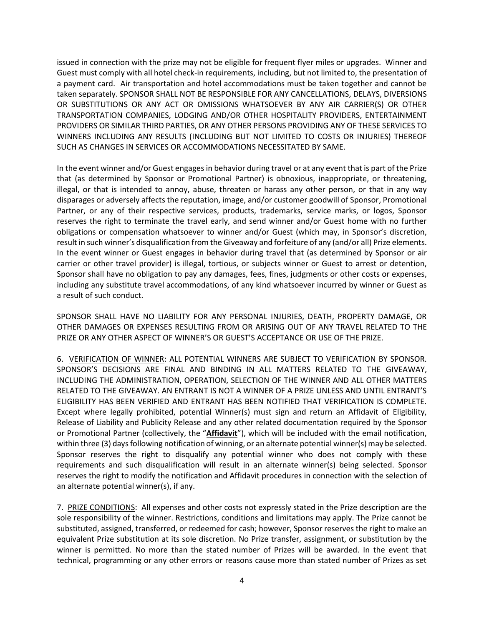issued in connection with the prize may not be eligible for frequent flyer miles or upgrades. Winner and Guest must comply with all hotel check-in requirements, including, but not limited to, the presentation of a payment card. Air transportation and hotel accommodations must be taken together and cannot be taken separately. SPONSOR SHALL NOT BE RESPONSIBLE FOR ANY CANCELLATIONS, DELAYS, DIVERSIONS OR SUBSTITUTIONS OR ANY ACT OR OMISSIONS WHATSOEVER BY ANY AIR CARRIER(S) OR OTHER TRANSPORTATION COMPANIES, LODGING AND/OR OTHER HOSPITALITY PROVIDERS, ENTERTAINMENT PROVIDERS OR SIMILAR THIRD PARTIES, OR ANY OTHER PERSONS PROVIDING ANY OF THESE SERVICES TO WINNERS INCLUDING ANY RESULTS (INCLUDING BUT NOT LIMITED TO COSTS OR INJURIES) THEREOF SUCH AS CHANGES IN SERVICES OR ACCOMMODATIONS NECESSITATED BY SAME.

In the event winner and/or Guest engages in behavior during travel or at any event that is part of the Prize that (as determined by Sponsor or Promotional Partner) is obnoxious, inappropriate, or threatening, illegal, or that is intended to annoy, abuse, threaten or harass any other person, or that in any way disparages or adversely affects the reputation, image, and/or customer goodwill of Sponsor, Promotional Partner, or any of their respective services, products, trademarks, service marks, or logos, Sponsor reserves the right to terminate the travel early, and send winner and/or Guest home with no further obligations or compensation whatsoever to winner and/or Guest (which may, in Sponsor's discretion, result in such winner's disqualification from the Giveaway and forfeiture of any (and/or all) Prize elements. In the event winner or Guest engages in behavior during travel that (as determined by Sponsor or air carrier or other travel provider) is illegal, tortious, or subjects winner or Guest to arrest or detention, Sponsor shall have no obligation to pay any damages, fees, fines, judgments or other costs or expenses, including any substitute travel accommodations, of any kind whatsoever incurred by winner or Guest as a result of such conduct.

SPONSOR SHALL HAVE NO LIABILITY FOR ANY PERSONAL INJURIES, DEATH, PROPERTY DAMAGE, OR OTHER DAMAGES OR EXPENSES RESULTING FROM OR ARISING OUT OF ANY TRAVEL RELATED TO THE PRIZE OR ANY OTHER ASPECT OF WINNER'S OR GUEST'S ACCEPTANCE OR USE OF THE PRIZE.

6. VERIFICATION OF WINNER: ALL POTENTIAL WINNERS ARE SUBJECT TO VERIFICATION BY SPONSOR. SPONSOR'S DECISIONS ARE FINAL AND BINDING IN ALL MATTERS RELATED TO THE GIVEAWAY, INCLUDING THE ADMINISTRATION, OPERATION, SELECTION OF THE WINNER AND ALL OTHER MATTERS RELATED TO THE GIVEAWAY. AN ENTRANT IS NOT A WINNER OF A PRIZE UNLESS AND UNTIL ENTRANT'S ELIGIBILITY HAS BEEN VERIFIED AND ENTRANT HAS BEEN NOTIFIED THAT VERIFICATION IS COMPLETE. Except where legally prohibited, potential Winner(s) must sign and return an Affidavit of Eligibility, Release of Liability and Publicity Release and any other related documentation required by the Sponsor or Promotional Partner (collectively, the "**Affidavit**"), which will be included with the email notification, within three (3) days following notification of winning, or an alternate potential winner(s) may be selected. Sponsor reserves the right to disqualify any potential winner who does not comply with these requirements and such disqualification will result in an alternate winner(s) being selected. Sponsor reserves the right to modify the notification and Affidavit procedures in connection with the selection of an alternate potential winner(s), if any.

7. PRIZE CONDITIONS: All expenses and other costs not expressly stated in the Prize description are the sole responsibility of the winner. Restrictions, conditions and limitations may apply. The Prize cannot be substituted, assigned, transferred, or redeemed for cash; however, Sponsor reserves the right to make an equivalent Prize substitution at its sole discretion. No Prize transfer, assignment, or substitution by the winner is permitted. No more than the stated number of Prizes will be awarded. In the event that technical, programming or any other errors or reasons cause more than stated number of Prizes as set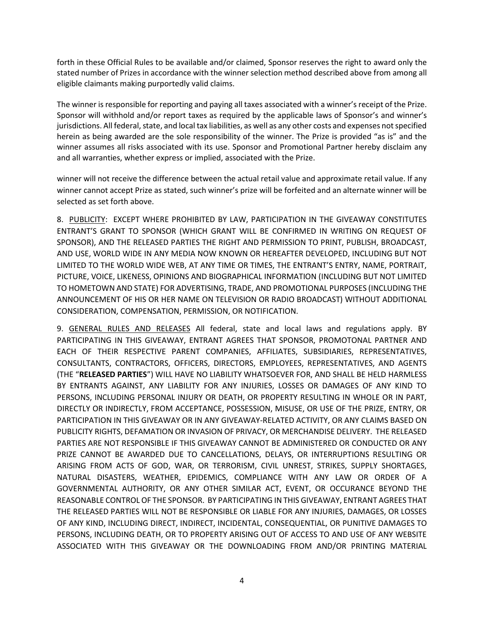forth in these Official Rules to be available and/or claimed, Sponsor reserves the right to award only the stated number of Prizes in accordance with the winner selection method described above from among all eligible claimants making purportedly valid claims.

The winner is responsible for reporting and paying all taxes associated with a winner's receipt of the Prize. Sponsor will withhold and/or report taxes as required by the applicable laws of Sponsor's and winner's jurisdictions. All federal, state, and local tax liabilities, as well as any other costs and expenses not specified herein as being awarded are the sole responsibility of the winner. The Prize is provided "as is" and the winner assumes all risks associated with its use. Sponsor and Promotional Partner hereby disclaim any and all warranties, whether express or implied, associated with the Prize.

winner will not receive the difference between the actual retail value and approximate retail value. If any winner cannot accept Prize as stated, such winner's prize will be forfeited and an alternate winner will be selected as set forth above.

8. PUBLICITY: EXCEPT WHERE PROHIBITED BY LAW, PARTICIPATION IN THE GIVEAWAY CONSTITUTES ENTRANT'S GRANT TO SPONSOR (WHICH GRANT WILL BE CONFIRMED IN WRITING ON REQUEST OF SPONSOR), AND THE RELEASED PARTIES THE RIGHT AND PERMISSION TO PRINT, PUBLISH, BROADCAST, AND USE, WORLD WIDE IN ANY MEDIA NOW KNOWN OR HEREAFTER DEVELOPED, INCLUDING BUT NOT LIMITED TO THE WORLD WIDE WEB, AT ANY TIME OR TIMES, THE ENTRANT'S ENTRY, NAME, PORTRAIT, PICTURE, VOICE, LIKENESS, OPINIONS AND BIOGRAPHICAL INFORMATION (INCLUDING BUT NOT LIMITED TO HOMETOWN AND STATE) FOR ADVERTISING, TRADE, AND PROMOTIONAL PURPOSES (INCLUDING THE ANNOUNCEMENT OF HIS OR HER NAME ON TELEVISION OR RADIO BROADCAST) WITHOUT ADDITIONAL CONSIDERATION, COMPENSATION, PERMISSION, OR NOTIFICATION.

9. GENERAL RULES AND RELEASES All federal, state and local laws and regulations apply. BY PARTICIPATING IN THIS GIVEAWAY, ENTRANT AGREES THAT SPONSOR, PROMOTONAL PARTNER AND EACH OF THEIR RESPECTIVE PARENT COMPANIES, AFFILIATES, SUBSIDIARIES, REPRESENTATIVES, CONSULTANTS, CONTRACTORS, OFFICERS, DIRECTORS, EMPLOYEES, REPRESENTATIVES, AND AGENTS (THE "**RELEASED PARTIES**") WILL HAVE NO LIABILITY WHATSOEVER FOR, AND SHALL BE HELD HARMLESS BY ENTRANTS AGAINST, ANY LIABILITY FOR ANY INJURIES, LOSSES OR DAMAGES OF ANY KIND TO PERSONS, INCLUDING PERSONAL INJURY OR DEATH, OR PROPERTY RESULTING IN WHOLE OR IN PART, DIRECTLY OR INDIRECTLY, FROM ACCEPTANCE, POSSESSION, MISUSE, OR USE OF THE PRIZE, ENTRY, OR PARTICIPATION IN THIS GIVEAWAY OR IN ANY GIVEAWAY-RELATED ACTIVITY, OR ANY CLAIMS BASED ON PUBLICITY RIGHTS, DEFAMATION OR INVASION OF PRIVACY, OR MERCHANDISE DELIVERY. THE RELEASED PARTIES ARE NOT RESPONSIBLE IF THIS GIVEAWAY CANNOT BE ADMINISTERED OR CONDUCTED OR ANY PRIZE CANNOT BE AWARDED DUE TO CANCELLATIONS, DELAYS, OR INTERRUPTIONS RESULTING OR ARISING FROM ACTS OF GOD, WAR, OR TERRORISM, CIVIL UNREST, STRIKES, SUPPLY SHORTAGES, NATURAL DISASTERS, WEATHER, EPIDEMICS, COMPLIANCE WITH ANY LAW OR ORDER OF A GOVERNMENTAL AUTHORITY, OR ANY OTHER SIMILAR ACT, EVENT, OR OCCURANCE BEYOND THE REASONABLE CONTROL OF THE SPONSOR. BY PARTICIPATING IN THIS GIVEAWAY, ENTRANT AGREES THAT THE RELEASED PARTIES WILL NOT BE RESPONSIBLE OR LIABLE FOR ANY INJURIES, DAMAGES, OR LOSSES OF ANY KIND, INCLUDING DIRECT, INDIRECT, INCIDENTAL, CONSEQUENTIAL, OR PUNITIVE DAMAGES TO PERSONS, INCLUDING DEATH, OR TO PROPERTY ARISING OUT OF ACCESS TO AND USE OF ANY WEBSITE ASSOCIATED WITH THIS GIVEAWAY OR THE DOWNLOADING FROM AND/OR PRINTING MATERIAL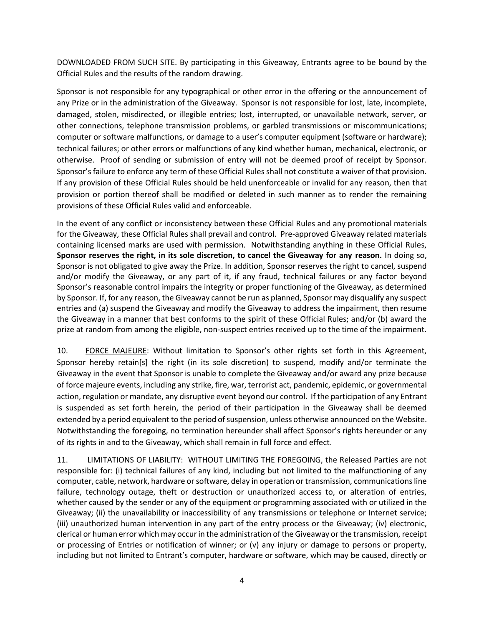DOWNLOADED FROM SUCH SITE. By participating in this Giveaway, Entrants agree to be bound by the Official Rules and the results of the random drawing.

Sponsor is not responsible for any typographical or other error in the offering or the announcement of any Prize or in the administration of the Giveaway. Sponsor is not responsible for lost, late, incomplete, damaged, stolen, misdirected, or illegible entries; lost, interrupted, or unavailable network, server, or other connections, telephone transmission problems, or garbled transmissions or miscommunications; computer or software malfunctions, or damage to a user's computer equipment (software or hardware); technical failures; or other errors or malfunctions of any kind whether human, mechanical, electronic, or otherwise. Proof of sending or submission of entry will not be deemed proof of receipt by Sponsor. Sponsor's failure to enforce any term of these Official Rules shall not constitute a waiver of that provision. If any provision of these Official Rules should be held unenforceable or invalid for any reason, then that provision or portion thereof shall be modified or deleted in such manner as to render the remaining provisions of these Official Rules valid and enforceable.

In the event of any conflict or inconsistency between these Official Rules and any promotional materials for the Giveaway, these Official Rules shall prevail and control. Pre-approved Giveaway related materials containing licensed marks are used with permission. Notwithstanding anything in these Official Rules, **Sponsor reserves the right, in its sole discretion, to cancel the Giveaway for any reason.** In doing so, Sponsor is not obligated to give away the Prize. In addition, Sponsor reserves the right to cancel, suspend and/or modify the Giveaway, or any part of it, if any fraud, technical failures or any factor beyond Sponsor's reasonable control impairs the integrity or proper functioning of the Giveaway, as determined by Sponsor. If, for any reason, the Giveaway cannot be run as planned, Sponsor may disqualify any suspect entries and (a) suspend the Giveaway and modify the Giveaway to address the impairment, then resume the Giveaway in a manner that best conforms to the spirit of these Official Rules; and/or (b) award the prize at random from among the eligible, non-suspect entries received up to the time of the impairment.

10. FORCE MAJEURE: Without limitation to Sponsor's other rights set forth in this Agreement, Sponsor hereby retain[s] the right (in its sole discretion) to suspend, modify and/or terminate the Giveaway in the event that Sponsor is unable to complete the Giveaway and/or award any prize because of force majeure events, including any strike, fire, war, terrorist act, pandemic, epidemic, or governmental action, regulation or mandate, any disruptive event beyond our control. If the participation of any Entrant is suspended as set forth herein, the period of their participation in the Giveaway shall be deemed extended by a period equivalent to the period of suspension, unless otherwise announced on the Website. Notwithstanding the foregoing, no termination hereunder shall affect Sponsor's rights hereunder or any of its rights in and to the Giveaway, which shall remain in full force and effect.

11. LIMITATIONS OF LIABILITY: WITHOUT LIMITING THE FOREGOING, the Released Parties are not responsible for: (i) technical failures of any kind, including but not limited to the malfunctioning of any computer, cable, network, hardware or software, delay in operation or transmission, communications line failure, technology outage, theft or destruction or unauthorized access to, or alteration of entries, whether caused by the sender or any of the equipment or programming associated with or utilized in the Giveaway; (ii) the unavailability or inaccessibility of any transmissions or telephone or Internet service; (iii) unauthorized human intervention in any part of the entry process or the Giveaway; (iv) electronic, clerical or human error which may occur in the administration of the Giveaway or the transmission, receipt or processing of Entries or notification of winner; or  $(v)$  any injury or damage to persons or property, including but not limited to Entrant's computer, hardware or software, which may be caused, directly or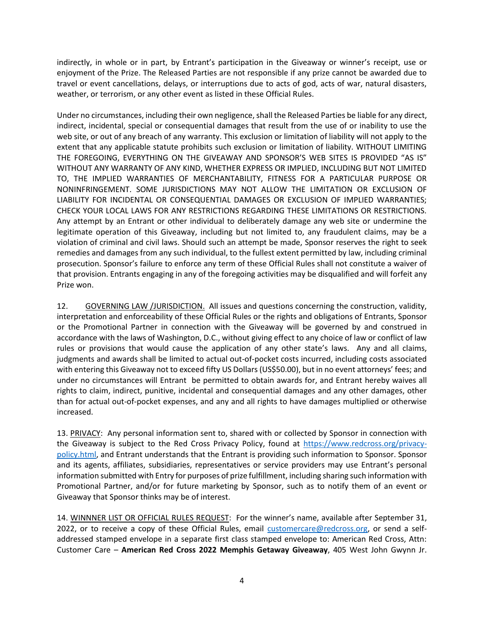indirectly, in whole or in part, by Entrant's participation in the Giveaway or winner's receipt, use or enjoyment of the Prize. The Released Parties are not responsible if any prize cannot be awarded due to travel or event cancellations, delays, or interruptions due to acts of god, acts of war, natural disasters, weather, or terrorism, or any other event as listed in these Official Rules.

Under no circumstances, including their own negligence, shall the Released Parties be liable for any direct, indirect, incidental, special or consequential damages that result from the use of or inability to use the web site, or out of any breach of any warranty. This exclusion or limitation of liability will not apply to the extent that any applicable statute prohibits such exclusion or limitation of liability. WITHOUT LIMITING THE FOREGOING, EVERYTHING ON THE GIVEAWAY AND SPONSOR'S WEB SITES IS PROVIDED "AS IS" WITHOUT ANY WARRANTY OF ANY KIND, WHETHER EXPRESS OR IMPLIED, INCLUDING BUT NOT LIMITED TO, THE IMPLIED WARRANTIES OF MERCHANTABILITY, FITNESS FOR A PARTICULAR PURPOSE OR NONINFRINGEMENT. SOME JURISDICTIONS MAY NOT ALLOW THE LIMITATION OR EXCLUSION OF LIABILITY FOR INCIDENTAL OR CONSEQUENTIAL DAMAGES OR EXCLUSION OF IMPLIED WARRANTIES; CHECK YOUR LOCAL LAWS FOR ANY RESTRICTIONS REGARDING THESE LIMITATIONS OR RESTRICTIONS. Any attempt by an Entrant or other individual to deliberately damage any web site or undermine the legitimate operation of this Giveaway, including but not limited to, any fraudulent claims, may be a violation of criminal and civil laws. Should such an attempt be made, Sponsor reserves the right to seek remedies and damages from any such individual, to the fullest extent permitted by law, including criminal prosecution. Sponsor's failure to enforce any term of these Official Rules shall not constitute a waiver of that provision. Entrants engaging in any of the foregoing activities may be disqualified and will forfeit any Prize won.

12. GOVERNING LAW /JURISDICTION. All issues and questions concerning the construction, validity, interpretation and enforceability of these Official Rules or the rights and obligations of Entrants, Sponsor or the Promotional Partner in connection with the Giveaway will be governed by and construed in accordance with the laws of Washington, D.C., without giving effect to any choice of law or conflict of law rules or provisions that would cause the application of any other state's laws. Any and all claims, judgments and awards shall be limited to actual out-of-pocket costs incurred, including costs associated with entering this Giveaway not to exceed fifty US Dollars (US\$50.00), but in no event attorneys' fees; and under no circumstances will Entrant be permitted to obtain awards for, and Entrant hereby waives all rights to claim, indirect, punitive, incidental and consequential damages and any other damages, other than for actual out-of-pocket expenses, and any and all rights to have damages multiplied or otherwise increased.

13. PRIVACY: Any personal information sent to, shared with or collected by Sponsor in connection with the Giveaway is subject to the Red Cross Privacy Policy, found at https://www.redcross.org/privacypolicy.html, and Entrant understands that the Entrant is providing such information to Sponsor. Sponsor and its agents, affiliates, subsidiaries, representatives or service providers may use Entrant's personal information submitted with Entry for purposes of prize fulfillment, including sharing such information with Promotional Partner, and/or for future marketing by Sponsor, such as to notify them of an event or Giveaway that Sponsor thinks may be of interest.

14. WINNNER LIST OR OFFICIAL RULES REQUEST: For the winner's name, available after September 31, 2022, or to receive a copy of these Official Rules, email customercare@redcross.org, or send a selfaddressed stamped envelope in a separate first class stamped envelope to: American Red Cross, Attn: Customer Care – **American Red Cross 2022 Memphis Getaway Giveaway**, 405 West John Gwynn Jr.